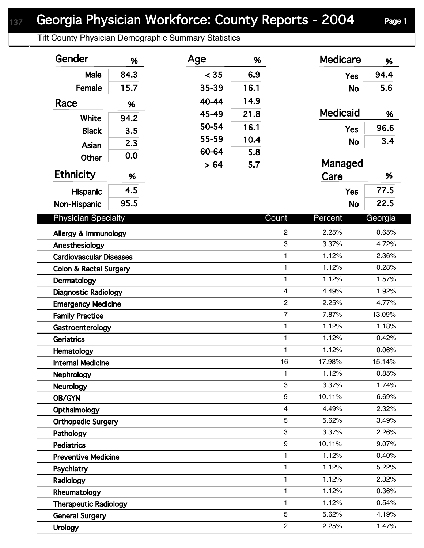Tift County Physician Demographic Summary Statistics

| Gender                            | %    | Age   | %    |                         | <b>Medicare</b> | %       |  |
|-----------------------------------|------|-------|------|-------------------------|-----------------|---------|--|
| Male                              | 84.3 | < 35  | 6.9  |                         | <b>Yes</b>      | 94.4    |  |
| Female                            | 15.7 | 35-39 | 16.1 |                         | <b>No</b>       | 5.6     |  |
| Race                              |      | 40-44 | 14.9 |                         |                 |         |  |
|                                   | %    | 45-49 | 21.8 |                         | <b>Medicaid</b> | %       |  |
| <b>White</b>                      | 94.2 | 50-54 | 16.1 |                         |                 | 96.6    |  |
| <b>Black</b>                      | 3.5  | 55-59 | 10.4 |                         | <b>Yes</b>      |         |  |
| <b>Asian</b>                      | 2.3  | 60-64 |      |                         | <b>No</b>       | 3.4     |  |
| Other                             | 0.0  |       | 5.8  |                         |                 |         |  |
| <b>Ethnicity</b>                  | %    | > 64  | 5.7  |                         | Managed<br>Care | %       |  |
| Hispanic                          | 4.5  |       |      |                         | <b>Yes</b>      | 77.5    |  |
|                                   | 95.5 |       |      |                         | <b>No</b>       | 22.5    |  |
| Non-Hispanic                      |      |       |      |                         |                 |         |  |
| <b>Physician Specialty</b>        |      |       |      | Count                   | Percent         | Georgia |  |
| Allergy & Immunology              |      |       |      | $\overline{c}$          | 2.25%           | 0.65%   |  |
| Anesthesiology                    |      |       |      | 3                       | 3.37%           | 4.72%   |  |
| <b>Cardiovascular Diseases</b>    |      |       |      | $\mathbf{1}$            | 1.12%           | 2.36%   |  |
| <b>Colon &amp; Rectal Surgery</b> |      |       |      | $\mathbf{1}$            | 1.12%           | 0.28%   |  |
| Dermatology                       |      |       |      | $\mathbf{1}$            | 1.12%           | 1.57%   |  |
| <b>Diagnostic Radiology</b>       |      |       |      | $\overline{\mathbf{4}}$ | 4.49%           | 1.92%   |  |
| <b>Emergency Medicine</b>         |      |       |      | $\overline{c}$          | 2.25%           | 4.77%   |  |
| <b>Family Practice</b>            |      |       |      | $\overline{7}$          | 7.87%           | 13.09%  |  |
| Gastroenterology                  |      |       |      | $\mathbf{1}$            | 1.12%           | 1.18%   |  |
| <b>Geriatrics</b>                 |      |       |      | 1                       | 1.12%           | 0.42%   |  |
| Hematology                        |      |       |      | $\mathbf{1}$            | 1.12%           | 0.06%   |  |
| <b>Internal Medicine</b>          |      |       |      | 16                      | 17.98%          | 15.14%  |  |
| <b>Nephrology</b>                 |      |       |      | 1                       | 1.12%           | 0.85%   |  |
| <b>Neurology</b>                  |      |       |      | 3                       | 3.37%           | 1.74%   |  |
| OB/GYN                            |      |       |      | 9                       | 10.11%          | 6.69%   |  |
| Opthalmology                      |      |       |      | $\overline{4}$          | 4.49%           | 2.32%   |  |
| <b>Orthopedic Surgery</b>         |      |       |      | 5                       | 5.62%           | 3.49%   |  |
| Pathology                         |      |       |      | 3                       | 3.37%           | 2.26%   |  |
| <b>Pediatrics</b>                 |      |       |      | 9                       | 10.11%          | 9.07%   |  |
| <b>Preventive Medicine</b>        |      |       |      | $\mathbf{1}$            | 1.12%           | 0.40%   |  |
| Psychiatry                        |      |       |      | 1                       | 1.12%           | 5.22%   |  |
| Radiology                         |      |       |      | 1                       | 1.12%           | 2.32%   |  |
| Rheumatology                      |      |       |      | $\mathbf{1}$            | 1.12%           | 0.36%   |  |
| <b>Therapeutic Radiology</b>      |      |       |      | 1                       | 1.12%           | 0.54%   |  |
| <b>General Surgery</b>            |      |       |      | 5                       | 5.62%           | 4.19%   |  |
| <b>Urology</b>                    |      |       |      | $\overline{c}$          | 2.25%           | 1.47%   |  |